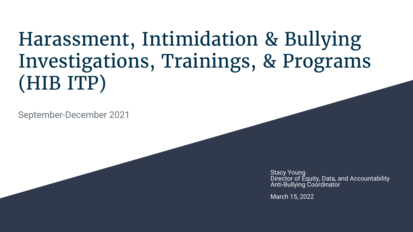## Harassment, Intimidation & Bullying Investigations, Trainings, & Programs (HIB ITP)

September-December 2021

**Stacy Young** Director of Equity, Data, and Accountability Anti-Bullying Coordinator

March 15, 2022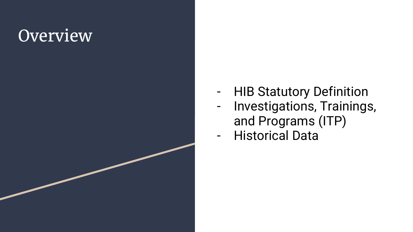#### **Overview**

- HIB Statutory Definition
- Investigations, Trainings, and Programs (ITP)
- Historical Data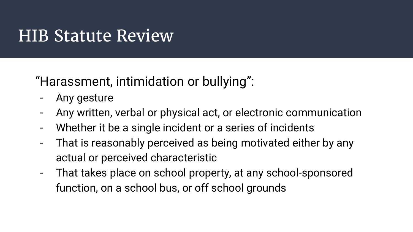#### HIB Statute Review

#### "Harassment, intimidation or bullying":

- Any gesture
- Any written, verbal or physical act, or electronic communication
- Whether it be a single incident or a series of incidents
- That is reasonably perceived as being motivated either by any actual or perceived characteristic
- That takes place on school property, at any school-sponsored function, on a school bus, or off school grounds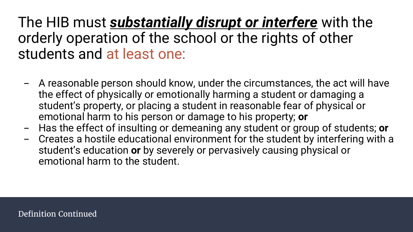#### The HIB must *substantially disrupt or interfere* with the orderly operation of the school or the rights of other students and at least one:

- A reasonable person should know, under the circumstances, the act will have the effect of physically or emotionally harming a student or damaging a student's property, or placing a student in reasonable fear of physical or emotional harm to his person or damage to his property; **or**
- Has the effect of insulting or demeaning any student or group of students; **or**
- Creates a hostile educational environment for the student by interfering with a student's education **or** by severely or pervasively causing physical or emotional harm to the student.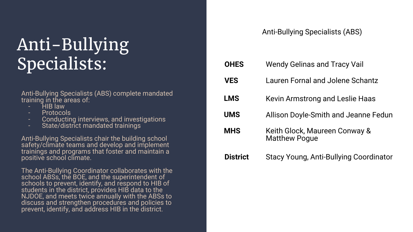#### Anti-Bullying Specialists:

Anti-Bullying Specialists (ABS) complete mandated training in the areas of:

- HIB law
- Protocols
- Conducting interviews, and investigations
- State/district mandated trainings

Anti-Bullying Specialists chair the building school safety/climate teams and develop and implement trainings and programs that foster and maintain a positive school climate.

The Anti-Bullying Coordinator collaborates with the school ABSs, the BOE, and the superintendent of schools to prevent, identify, and respond to HIB of students in the district, provides HIB data to the NJDOE, and meets twice annually with the ABSs to discuss and strengthen procedures and policies to prevent, identify, and address HIB in the district.

#### Anti-Bullying Specialists (ABS)

| <b>OHES</b>     | <b>Wendy Gelinas and Tracy Vail</b>                   |
|-----------------|-------------------------------------------------------|
| <b>VES</b>      | Lauren Fornal and Jolene Schantz                      |
| <b>LMS</b>      | Kevin Armstrong and Leslie Haas                       |
| <b>UMS</b>      | Allison Doyle-Smith and Jeanne Fedun                  |
| <b>MHS</b>      | Keith Glock, Maureen Conway &<br><b>Matthew Pogue</b> |
| <b>District</b> | Stacy Young, Anti-Bullying Coordinator                |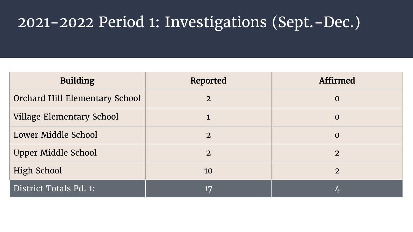#### 2021-2022 Period 1: Investigations (Sept.-Dec.)

| <b>Building</b>                | Reported       | <b>Affirmed</b> |
|--------------------------------|----------------|-----------------|
| Orchard Hill Elementary School | $\overline{2}$ | $\bf{O}$        |
| Village Elementary School      |                | $\bf{0}$        |
| Lower Middle School            | $\overline{2}$ | $\mathbf 0$     |
| Upper Middle School            | $\overline{2}$ | $\overline{2}$  |
| <b>High School</b>             | 10             | 2               |
| District Totals Pd. 1:         | 17             |                 |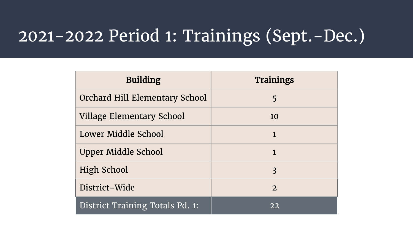#### 2021-2022 Period 1: Trainings (Sept.-Dec.)

| <b>Building</b>                 | <b>Trainings</b> |
|---------------------------------|------------------|
| Orchard Hill Elementary School  | 5                |
| Village Elementary School       | 10               |
| Lower Middle School             | $\mathbf{1}$     |
| Upper Middle School             | $\mathbf{1}$     |
| High School                     | 3                |
| District-Wide                   | $\overline{2}$   |
| District Training Totals Pd. 1: | 22               |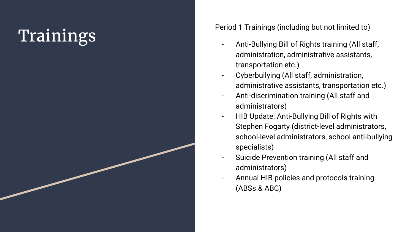# Trainings (including but not limited to)<br>Trainings (including but not limited to)<br>Anti-Bullying Bill of Rights training (All staff,

- administration, administrative assistants, transportation etc.)
- Cyberbullying (All staff, administration, administrative assistants, transportation etc.)
- Anti -discrimination training (All staff and administrators)
- HIB Update: Anti-Bullying Bill of Rights with Stephen Fogarty (district -level administrators, school -level administrators, school anti -bullying specialists)
- Suicide Prevention training (All staff and administrators)
- Annual HIB policies and protocols training (ABSs & ABC)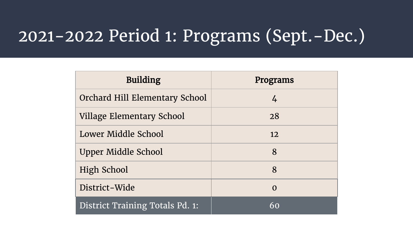### 2021-2022 Period 1: Programs (Sept.-Dec.)

| <b>Building</b>                 | Programs |
|---------------------------------|----------|
| Orchard Hill Elementary School  | 4        |
| Village Elementary School       | 28       |
| Lower Middle School             | 12       |
| Upper Middle School             | 8        |
| High School                     | 8        |
| District-Wide                   | $\Omega$ |
| District Training Totals Pd. 1: | 60       |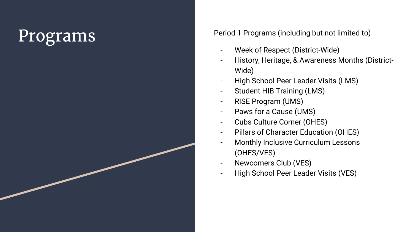Programs Period 1 Programs (including but not limited to)

- Week of Respect (District-Wide)
- History, Heritage, & Awareness Months (District Wide)
- High School Peer Leader Visits (LMS)
- Student HIB Training (LMS)
- RISE Program (UMS)
- Paws for a Cause (UMS)
- Cubs Culture Corner (OHES)
- Pillars of Character Education (OHES)
- Monthly Inclusive Curriculum Lessons (OHES/VES)
- Newcomers Club (VES)
- High School Peer Leader Visits (VES)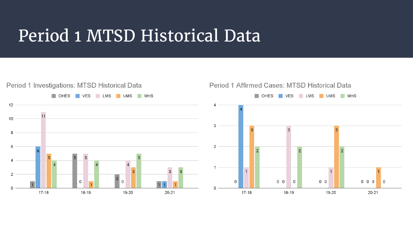#### Period 1 MTSD Historical Data